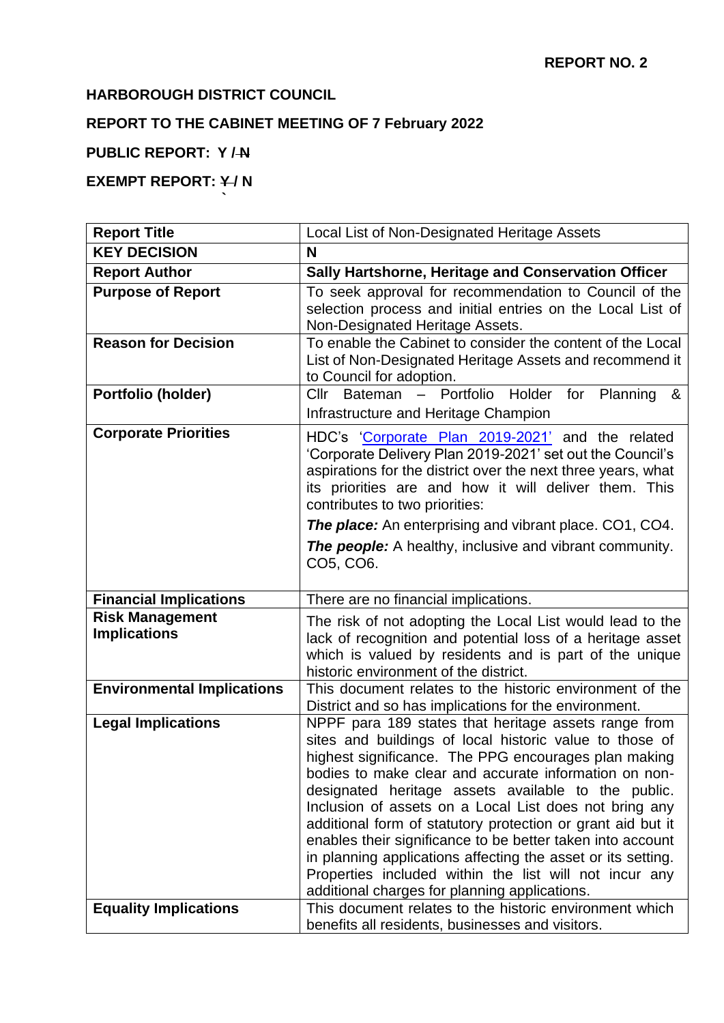# **HARBOROUGH DISTRICT COUNCIL**

**`**

# **REPORT TO THE CABINET MEETING OF 7 February 2022**

### **PUBLIC REPORT: Y / N**

# **EXEMPT REPORT: Y/N**

| <b>Report Title</b>                           | Local List of Non-Designated Heritage Assets                                                                                                                                                                                                                                                                                                                                                                                                                                                                                                                                                                                                              |  |
|-----------------------------------------------|-----------------------------------------------------------------------------------------------------------------------------------------------------------------------------------------------------------------------------------------------------------------------------------------------------------------------------------------------------------------------------------------------------------------------------------------------------------------------------------------------------------------------------------------------------------------------------------------------------------------------------------------------------------|--|
| <b>KEY DECISION</b>                           | N                                                                                                                                                                                                                                                                                                                                                                                                                                                                                                                                                                                                                                                         |  |
| <b>Report Author</b>                          | Sally Hartshorne, Heritage and Conservation Officer                                                                                                                                                                                                                                                                                                                                                                                                                                                                                                                                                                                                       |  |
| <b>Purpose of Report</b>                      | To seek approval for recommendation to Council of the<br>selection process and initial entries on the Local List of<br>Non-Designated Heritage Assets.                                                                                                                                                                                                                                                                                                                                                                                                                                                                                                    |  |
| <b>Reason for Decision</b>                    | To enable the Cabinet to consider the content of the Local<br>List of Non-Designated Heritage Assets and recommend it<br>to Council for adoption.                                                                                                                                                                                                                                                                                                                                                                                                                                                                                                         |  |
| Portfolio (holder)                            | Cllr Bateman - Portfolio Holder for<br>Planning<br>&                                                                                                                                                                                                                                                                                                                                                                                                                                                                                                                                                                                                      |  |
|                                               | Infrastructure and Heritage Champion                                                                                                                                                                                                                                                                                                                                                                                                                                                                                                                                                                                                                      |  |
| <b>Corporate Priorities</b>                   | HDC's 'Corporate Plan 2019-2021' and the related<br>'Corporate Delivery Plan 2019-2021' set out the Council's<br>aspirations for the district over the next three years, what<br>its priorities are and how it will deliver them. This<br>contributes to two priorities:<br><b>The place:</b> An enterprising and vibrant place. CO1, CO4.<br><b>The people:</b> A healthy, inclusive and vibrant community.                                                                                                                                                                                                                                              |  |
|                                               | CO5, CO6.                                                                                                                                                                                                                                                                                                                                                                                                                                                                                                                                                                                                                                                 |  |
| <b>Financial Implications</b>                 | There are no financial implications.                                                                                                                                                                                                                                                                                                                                                                                                                                                                                                                                                                                                                      |  |
| <b>Risk Management</b><br><b>Implications</b> | The risk of not adopting the Local List would lead to the<br>lack of recognition and potential loss of a heritage asset<br>which is valued by residents and is part of the unique<br>historic environment of the district.                                                                                                                                                                                                                                                                                                                                                                                                                                |  |
| <b>Environmental Implications</b>             | This document relates to the historic environment of the<br>District and so has implications for the environment.                                                                                                                                                                                                                                                                                                                                                                                                                                                                                                                                         |  |
| <b>Legal Implications</b>                     | NPPF para 189 states that heritage assets range from<br>sites and buildings of local historic value to those of<br>highest significance. The PPG encourages plan making<br>bodies to make clear and accurate information on non-<br>designated heritage assets available to the public.<br>Inclusion of assets on a Local List does not bring any<br>additional form of statutory protection or grant aid but it<br>enables their significance to be better taken into account<br>in planning applications affecting the asset or its setting.<br>Properties included within the list will not incur any<br>additional charges for planning applications. |  |
| <b>Equality Implications</b>                  | This document relates to the historic environment which<br>benefits all residents, businesses and visitors.                                                                                                                                                                                                                                                                                                                                                                                                                                                                                                                                               |  |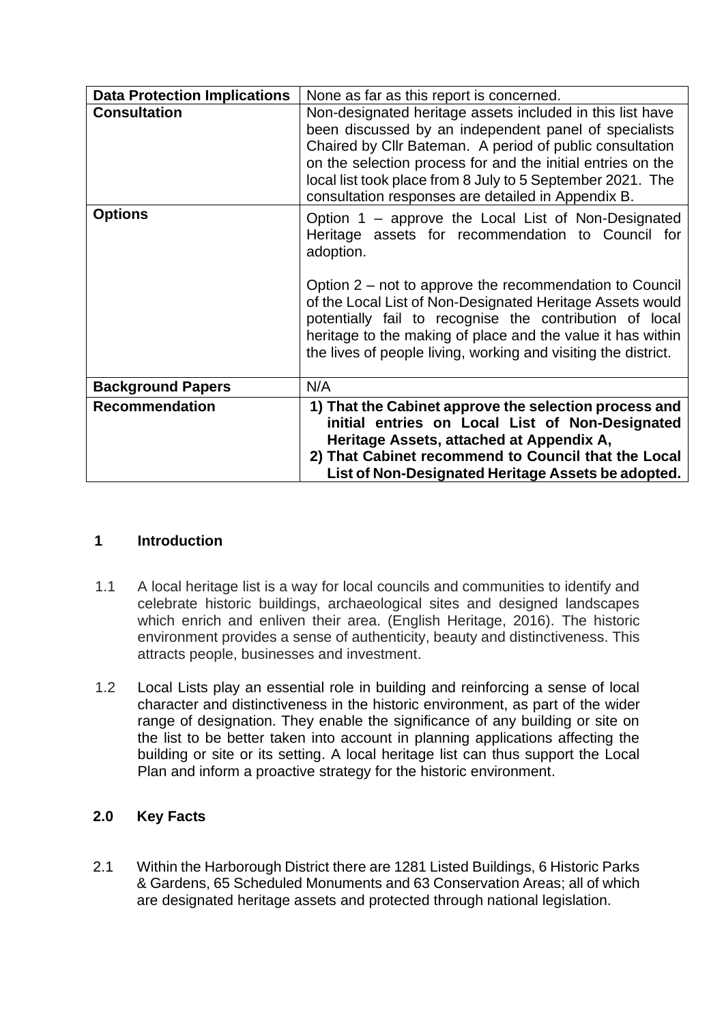| <b>Data Protection Implications</b> | None as far as this report is concerned.                                                                                                                                                                                                                                                                                                                                                                                                  |  |
|-------------------------------------|-------------------------------------------------------------------------------------------------------------------------------------------------------------------------------------------------------------------------------------------------------------------------------------------------------------------------------------------------------------------------------------------------------------------------------------------|--|
| <b>Consultation</b>                 | Non-designated heritage assets included in this list have<br>been discussed by an independent panel of specialists<br>Chaired by Cllr Bateman. A period of public consultation<br>on the selection process for and the initial entries on the<br>local list took place from 8 July to 5 September 2021. The<br>consultation responses are detailed in Appendix B.                                                                         |  |
| <b>Options</b>                      | Option 1 – approve the Local List of Non-Designated<br>Heritage assets for recommendation to Council for<br>adoption.<br>Option 2 – not to approve the recommendation to Council<br>of the Local List of Non-Designated Heritage Assets would<br>potentially fail to recognise the contribution of local<br>heritage to the making of place and the value it has within<br>the lives of people living, working and visiting the district. |  |
| <b>Background Papers</b>            | N/A                                                                                                                                                                                                                                                                                                                                                                                                                                       |  |
| <b>Recommendation</b>               | 1) That the Cabinet approve the selection process and<br>initial entries on Local List of Non-Designated<br>Heritage Assets, attached at Appendix A,<br>2) That Cabinet recommend to Council that the Local<br>List of Non-Designated Heritage Assets be adopted.                                                                                                                                                                         |  |

#### **1 Introduction**

- 1.1 A local heritage list is a way for local councils and communities to identify and celebrate historic buildings, archaeological sites and designed landscapes which enrich and enliven their area. (English Heritage, 2016). The historic environment provides a sense of authenticity, beauty and distinctiveness. This attracts people, businesses and investment.
- 1.2 Local Lists play an essential role in building and reinforcing a sense of local character and distinctiveness in the historic environment, as part of the wider range of designation. They enable the significance of any building or site on the list to be better taken into account in planning applications affecting the building or site or its setting. A local heritage list can thus support the Local Plan and inform a proactive strategy for the historic environment.

### **2.0 Key Facts**

2.1 Within the Harborough District there are 1281 Listed Buildings, 6 Historic Parks & Gardens, 65 Scheduled Monuments and 63 Conservation Areas; all of which are designated heritage assets and protected through national legislation.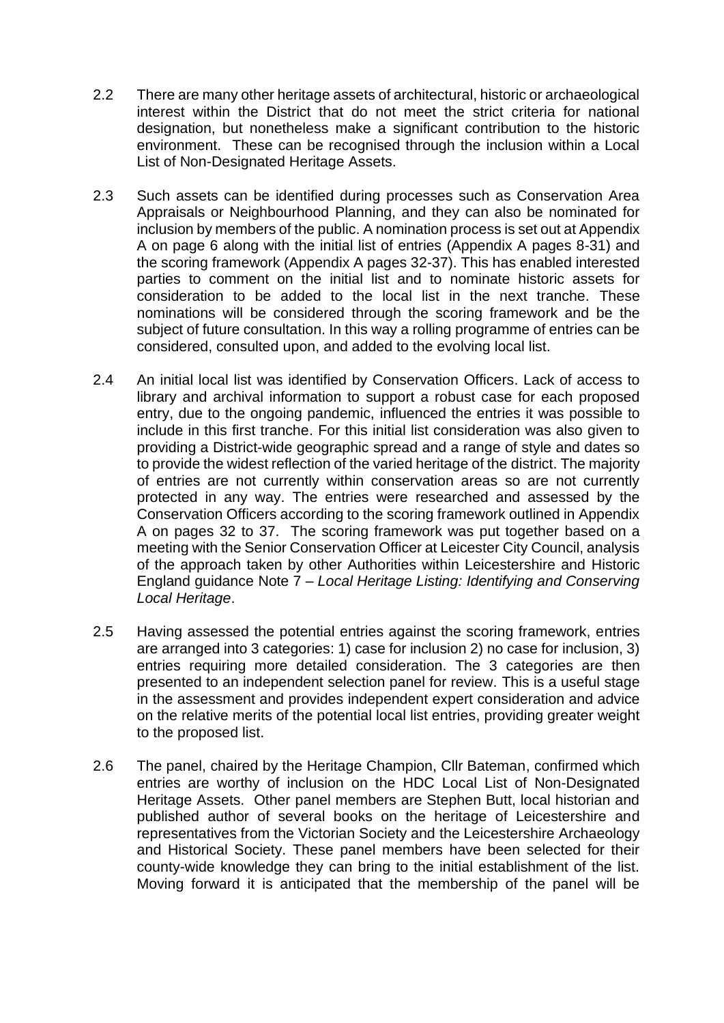- 2.2 There are many other heritage assets of architectural, historic or archaeological interest within the District that do not meet the strict criteria for national designation, but nonetheless make a significant contribution to the historic environment. These can be recognised through the inclusion within a Local List of Non-Designated Heritage Assets.
- 2.3 Such assets can be identified during processes such as Conservation Area Appraisals or Neighbourhood Planning, and they can also be nominated for inclusion by members of the public. A nomination process is set out at Appendix A on page 6 along with the initial list of entries (Appendix A pages 8-31) and the scoring framework (Appendix A pages 32-37). This has enabled interested parties to comment on the initial list and to nominate historic assets for consideration to be added to the local list in the next tranche. These nominations will be considered through the scoring framework and be the subject of future consultation. In this way a rolling programme of entries can be considered, consulted upon, and added to the evolving local list.
- 2.4 An initial local list was identified by Conservation Officers. Lack of access to library and archival information to support a robust case for each proposed entry, due to the ongoing pandemic, influenced the entries it was possible to include in this first tranche. For this initial list consideration was also given to providing a District-wide geographic spread and a range of style and dates so to provide the widest reflection of the varied heritage of the district. The majority of entries are not currently within conservation areas so are not currently protected in any way. The entries were researched and assessed by the Conservation Officers according to the scoring framework outlined in Appendix A on pages 32 to 37. The scoring framework was put together based on a meeting with the Senior Conservation Officer at Leicester City Council, analysis of the approach taken by other Authorities within Leicestershire and Historic England guidance Note 7 – *Local Heritage Listing: Identifying and Conserving Local Heritage*.
- 2.5 Having assessed the potential entries against the scoring framework, entries are arranged into 3 categories: 1) case for inclusion 2) no case for inclusion, 3) entries requiring more detailed consideration. The 3 categories are then presented to an independent selection panel for review. This is a useful stage in the assessment and provides independent expert consideration and advice on the relative merits of the potential local list entries, providing greater weight to the proposed list.
- 2.6 The panel, chaired by the Heritage Champion, Cllr Bateman, confirmed which entries are worthy of inclusion on the HDC Local List of Non-Designated Heritage Assets. Other panel members are Stephen Butt, local historian and published author of several books on the heritage of Leicestershire and representatives from the Victorian Society and the Leicestershire Archaeology and Historical Society. These panel members have been selected for their county-wide knowledge they can bring to the initial establishment of the list. Moving forward it is anticipated that the membership of the panel will be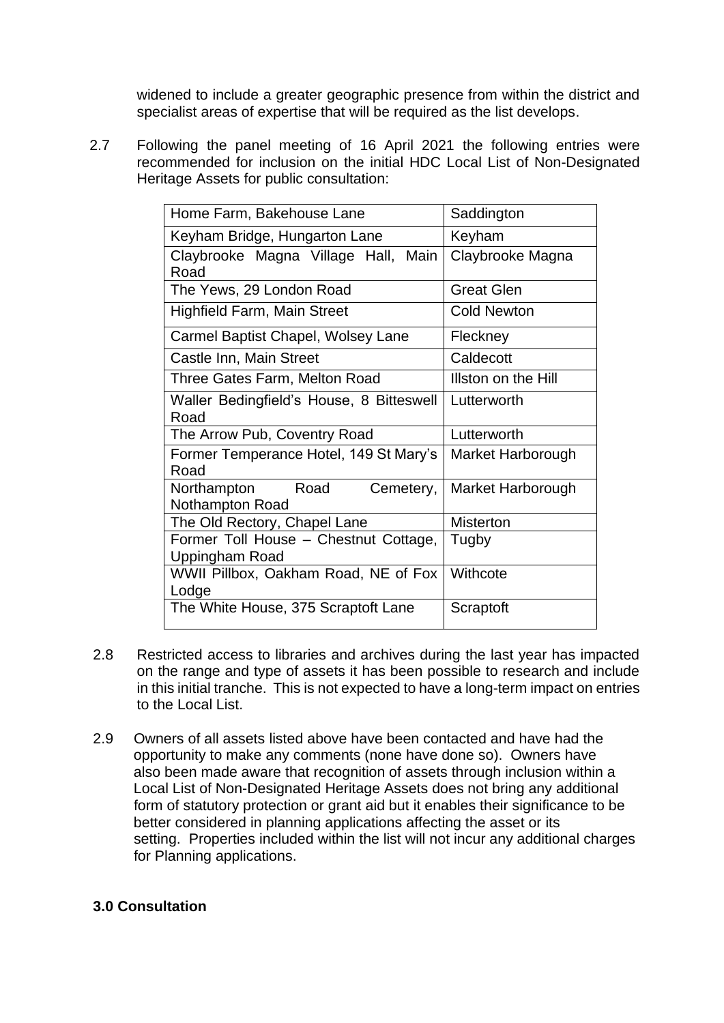widened to include a greater geographic presence from within the district and specialist areas of expertise that will be required as the list develops.

 2.7 Following the panel meeting of 16 April 2021 the following entries were recommended for inclusion on the initial HDC Local List of Non-Designated Heritage Assets for public consultation:

| Home Farm, Bakehouse Lane                                  | Saddington          |
|------------------------------------------------------------|---------------------|
| Keyham Bridge, Hungarton Lane                              | Keyham              |
| Claybrooke Magna Village Hall, Main<br>Road                | Claybrooke Magna    |
| The Yews, 29 London Road                                   | <b>Great Glen</b>   |
| Highfield Farm, Main Street                                | <b>Cold Newton</b>  |
| Carmel Baptist Chapel, Wolsey Lane                         | Fleckney            |
| Castle Inn, Main Street                                    | Caldecott           |
| Three Gates Farm, Melton Road                              | Illston on the Hill |
| Waller Bedingfield's House, 8 Bitteswell<br>Road           | Lutterworth         |
| The Arrow Pub, Coventry Road                               | Lutterworth         |
| Former Temperance Hotel, 149 St Mary's<br>Road             | Market Harborough   |
| Road<br>Northampton<br>Cemetery,<br><b>Nothampton Road</b> | Market Harborough   |
| The Old Rectory, Chapel Lane                               | <b>Misterton</b>    |
| Former Toll House - Chestnut Cottage,<br>Uppingham Road    | Tugby               |
| WWII Pillbox, Oakham Road, NE of Fox<br>Lodge              | Withcote            |
| The White House, 375 Scraptoft Lane                        | Scraptoft           |

- 2.8 Restricted access to libraries and archives during the last year has impacted on the range and type of assets it has been possible to research and include in this initial tranche. This is not expected to have a long-term impact on entries to the Local List.
- 2.9 Owners of all assets listed above have been contacted and have had the opportunity to make any comments (none have done so). Owners have also been made aware that recognition of assets through inclusion within a Local List of Non-Designated Heritage Assets does not bring any additional form of statutory protection or grant aid but it enables their significance to be better considered in planning applications affecting the asset or its setting. Properties included within the list will not incur any additional charges for Planning applications.

### **3.0 Consultation**